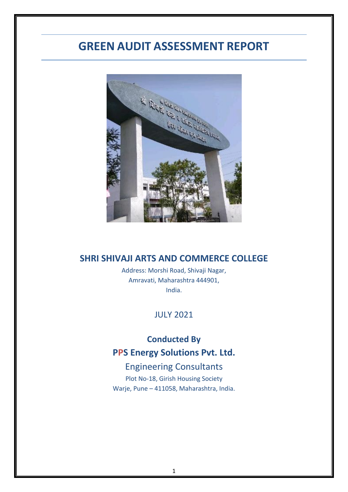# **GREEN AUDIT ASSESSMENT REPORT**



## **SHRI SHIVAJI ARTS AND COMMERCE COLLEGE**

Address: Morshi Road, Shivaji Nagar, Amravati, Maharashtra 444901, India.

JULY 2021

# **Conducted By PPS Energy Solutions Pvt. Ltd.**

# Engineering Consultants

Plot No-18, Girish Housing Society Warje, Pune – 411058, Maharashtra, India.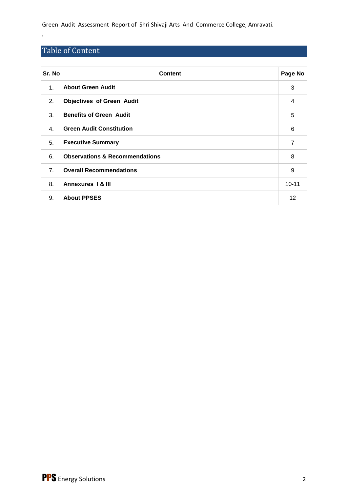# Table of Content

,

| Sr. No         | <b>Content</b>                            | Page No        |
|----------------|-------------------------------------------|----------------|
| $\mathbf{1}$ . | <b>About Green Audit</b>                  | 3              |
| 2.             | <b>Objectives of Green Audit</b>          | 4              |
| 3.             | <b>Benefits of Green Audit</b>            | 5              |
| 4.             | <b>Green Audit Constitution</b>           | 6              |
| 5.             | <b>Executive Summary</b>                  | $\overline{7}$ |
| 6.             | <b>Observations &amp; Recommendations</b> | 8              |
| 7 <sub>1</sub> | <b>Overall Recommendations</b>            | 9              |
| 8.             | <b>Annexures 1 &amp; III</b>              | $10 - 11$      |
| 9.             | <b>About PPSES</b>                        | 12             |

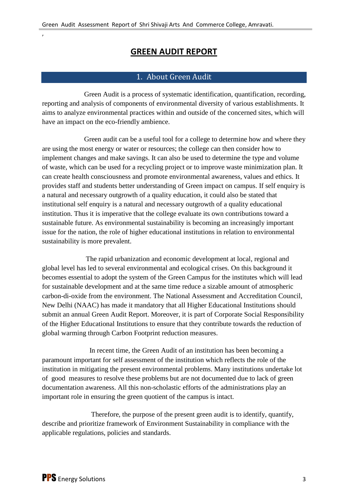# **GREEN AUDIT REPORT**

### 1. About Green Audit

 Green Audit is a process of systematic identification, quantification, recording, reporting and analysis of components of environmental diversity of various establishments. It aims to analyze environmental practices within and outside of the concerned sites, which will have an impact on the eco-friendly ambience.

 Green audit can be a useful tool for a college to determine how and where they are using the most energy or water or resources; the college can then consider how to implement changes and make savings. It can also be used to determine the type and volume of waste, which can be used for a recycling project or to improve waste minimization plan. It can create health consciousness and promote environmental awareness, values and ethics. It provides staff and students better understanding of Green impact on campus. If self enquiry is a natural and necessary outgrowth of a quality education, it could also be stated that institutional self enquiry is a natural and necessary outgrowth of a quality educational institution. Thus it is imperative that the college evaluate its own contributions toward a sustainable future. As environmental sustainability is becoming an increasingly important issue for the nation, the role of higher educational institutions in relation to environmental sustainability is more prevalent.

 The rapid urbanization and economic development at local, regional and global level has led to several environmental and ecological crises. On this background it becomes essential to adopt the system of the Green Campus for the institutes which will lead for sustainable development and at the same time reduce a sizable amount of atmospheric carbon-di-oxide from the environment. The National Assessment and Accreditation Council, New Delhi (NAAC) has made it mandatory that all Higher Educational Institutions should submit an annual Green Audit Report. Moreover, it is part of Corporate Social Responsibility of the Higher Educational Institutions to ensure that they contribute towards the reduction of global warming through Carbon Footprint reduction measures.

 In recent time, the Green Audit of an institution has been becoming a paramount important for self assessment of the institution which reflects the role of the institution in mitigating the present environmental problems. Many institutions undertake lot of good measures to resolve these problems but are not documented due to lack of green documentation awareness. All this non-scholastic efforts of the administrations play an important role in ensuring the green quotient of the campus is intact.

 Therefore, the purpose of the present green audit is to identify, quantify, describe and prioritize framework of Environment Sustainability in compliance with the applicable regulations, policies and standards.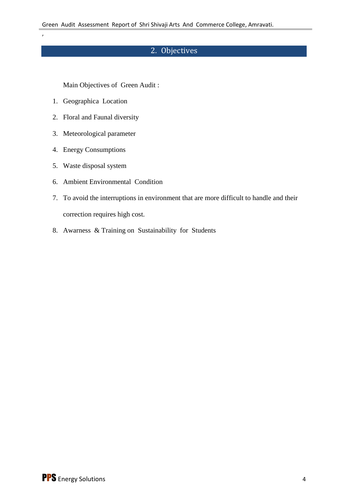# 2. Objectives

Main Objectives of Green Audit :

1. Geographica Location

,

- 2. Floral and Faunal diversity
- 3. Meteorological parameter
- 4. Energy Consumptions
- 5. Waste disposal system
- 6. Ambient Environmental Condition
- 7. To avoid the interruptions in environment that are more difficult to handle and their correction requires high cost.
- 8. Awarness & Training on Sustainability for Students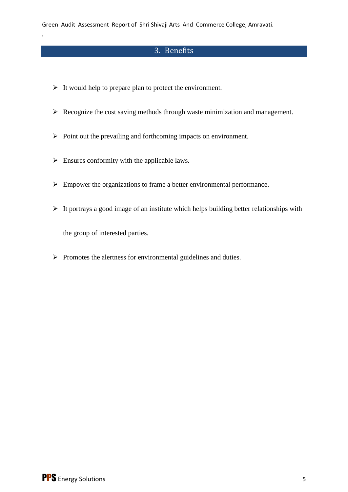# 3. Benefits

- $\triangleright$  It would help to prepare plan to protect the environment.
- $\triangleright$  Recognize the cost saving methods through waste minimization and management.
- $\triangleright$  Point out the prevailing and forthcoming impacts on environment.
- $\triangleright$  Ensures conformity with the applicable laws.
- $\triangleright$  Empower the organizations to frame a better environmental performance.
- $\triangleright$  It portrays a good image of an institute which helps building better relationships with

the group of interested parties.

,

 $\triangleright$  Promotes the alertness for environmental guidelines and duties.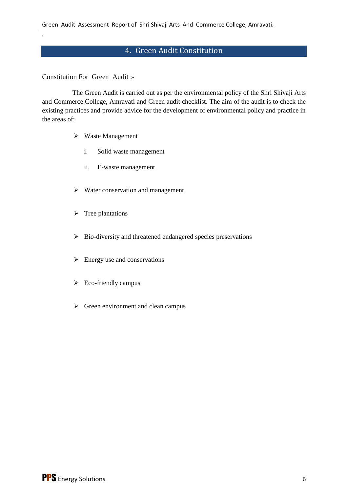# 4. Green Audit Constitution

Constitution For Green Audit :-

,

 The Green Audit is carried out as per the environmental policy of the Shri Shivaji Arts and Commerce College, Amravati and Green audit checklist. The aim of the audit is to check the existing practices and provide advice for the development of environmental policy and practice in the areas of:

- Waste Management
	- i. Solid waste management
	- ii. E-waste management
- $\triangleright$  Water conservation and management
- $\triangleright$  Tree plantations
- $\triangleright$  Bio-diversity and threatened endangered species preservations
- $\triangleright$  Energy use and conservations
- $\triangleright$  Eco-friendly campus
- $\triangleright$  Green environment and clean campus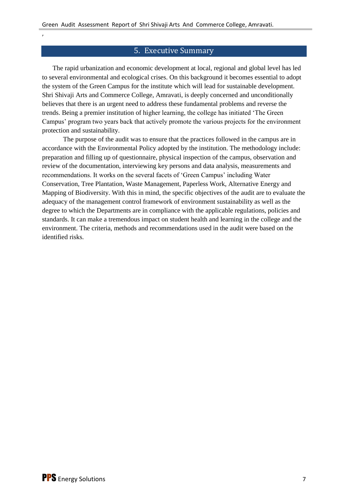#### 5. Executive Summary

The rapid urbanization and economic development at local, regional and global level has led to several environmental and ecological crises. On this background it becomes essential to adopt the system of the Green Campus for the institute which will lead for sustainable development. Shri Shivaji Arts and Commerce College, Amravati, is deeply concerned and unconditionally believes that there is an urgent need to address these fundamental problems and reverse the trends. Being a premier institution of higher learning, the college has initiated 'The Green Campus' program two years back that actively promote the various projects for the environment protection and sustainability.

The purpose of the audit was to ensure that the practices followed in the campus are in accordance with the Environmental Policy adopted by the institution. The methodology include: preparation and filling up of questionnaire, physical inspection of the campus, observation and review of the documentation, interviewing key persons and data analysis, measurements and recommendations. It works on the several facets of 'Green Campus' including Water Conservation, Tree Plantation, Waste Management, Paperless Work, Alternative Energy and Mapping of Biodiversity. With this in mind, the specific objectives of the audit are to evaluate the adequacy of the management control framework of environment sustainability as well as the degree to which the Departments are in compliance with the applicable regulations, policies and standards. It can make a tremendous impact on student health and learning in the college and the environment. The criteria, methods and recommendations used in the audit were based on the identified risks.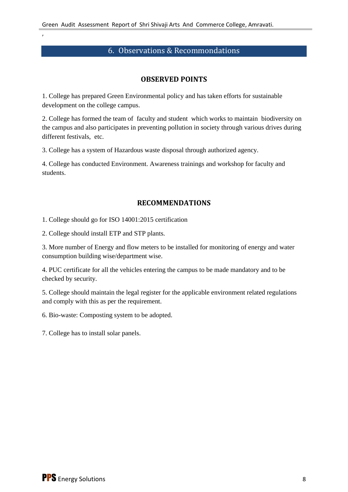### 6. Observations & Recommondations

#### **OBSERVED POINTS**

1. College has prepared Green Environmental policy and has taken efforts for sustainable development on the college campus.

2. College has formed the team of faculty and student which works to maintain biodiversity on the campus and also participates in preventing pollution in society through various drives during different festivals, etc.

3. College has a system of Hazardous waste disposal through authorized agency.

4. College has conducted Environment. Awareness trainings and workshop for faculty and students.

#### **RECOMMENDATIONS**

1. College should go for ISO 14001:2015 certification

2. College should install ETP and STP plants.

,

3. More number of Energy and flow meters to be installed for monitoring of energy and water consumption building wise/department wise.

4. PUC certificate for all the vehicles entering the campus to be made mandatory and to be checked by security.

5. College should maintain the legal register for the applicable environment related regulations and comply with this as per the requirement.

6. Bio-waste: Composting system to be adopted.

7. College has to install solar panels.

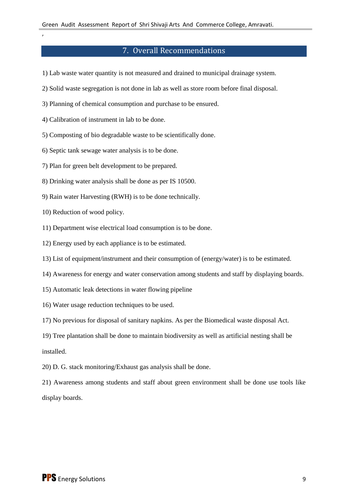# 7. Overall Recommendations

- 1) Lab waste water quantity is not measured and drained to municipal drainage system.
- 2) Solid waste segregation is not done in lab as well as store room before final disposal.
- 3) Planning of chemical consumption and purchase to be ensured.
- 4) Calibration of instrument in lab to be done.
- 5) Composting of bio degradable waste to be scientifically done.
- 6) Septic tank sewage water analysis is to be done.
- 7) Plan for green belt development to be prepared.
- 8) Drinking water analysis shall be done as per IS 10500.
- 9) Rain water Harvesting (RWH) is to be done technically.
- 10) Reduction of wood policy.

,

- 11) Department wise electrical load consumption is to be done.
- 12) Energy used by each appliance is to be estimated.
- 13) List of equipment/instrument and their consumption of (energy/water) is to be estimated.
- 14) Awareness for energy and water conservation among students and staff by displaying boards.
- 15) Automatic leak detections in water flowing pipeline
- 16) Water usage reduction techniques to be used.
- 17) No previous for disposal of sanitary napkins. As per the Biomedical waste disposal Act.
- 19) Tree plantation shall be done to maintain biodiversity as well as artificial nesting shall be installed.
- 20) D. G. stack monitoring/Exhaust gas analysis shall be done.
- 21) Awareness among students and staff about green environment shall be done use tools like display boards.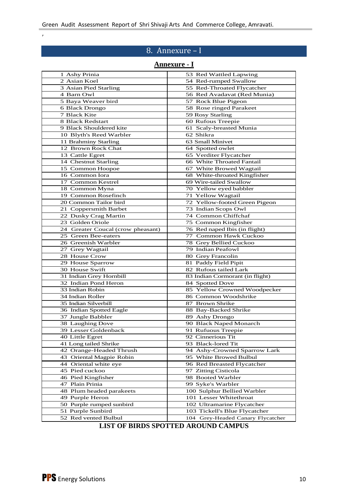# 8. Annexure – I

### **Annexure - I**

| 1 Ashy Prinia                     | 53 Red Wattled Lapwing                     |
|-----------------------------------|--------------------------------------------|
| 2 Asian Koel                      | 54 Red-rumped Swallow                      |
| 3 Asian Pied Starling             | 55 Red-Throated Flycatcher                 |
| 4 Barn Owl                        | 56 Red Avadavat (Red Munia)                |
| 5 Baya Weaver bird                | 57 Rock Blue Pigeon                        |
| 6 Black Drongo                    | 58 Rose ringed Parakeet                    |
| 7 Black Kite                      | 59 Rosy Starling                           |
| 8 Black Redstart                  | 60 Rufous Treepie                          |
| 9 Black Shouldered kite           | 61 Scaly-breasted Munia                    |
| 10 Blyth's Reed Warbler           | 62 Shikra                                  |
| 11 Brahminy Starling              | 63 Small Minivet                           |
| 12 Brown Rock Chat                | 64 Spotted owlet                           |
| 13 Cattle Egret                   | 65 Verditer Flycatcher                     |
| 14 Chestnut Starling              | 66 White Throated Fantail                  |
| 15 Common Hoopoe                  | 67 White Browed Wagtail                    |
| 16 Common Iora                    | 68 White-throated Kingfisher               |
| 17 Common Kestrel                 | 69 Wire-tailed Swallow                     |
| 18 Common Myna                    | 70 Yellow eyed babbler                     |
| 19 Common Rosefinch               | 71 Yellow Wagtail                          |
| 20 Common Tailor bird             | 72 Yellow-footed Green Pigeon              |
|                                   |                                            |
| 21 Coppersmith Barbet             | 73 Indian Scops Owl<br>74 Common Chiffchaf |
| 22 Dusky Crag Martin              |                                            |
| 23 Golden Oriole                  | 75 Common Kingfisher                       |
| 24 Greater Coucal (crow pheasant) | 76 Red naped Ibis (in flight)              |
| 25 Green Bee-eaters               | 77 Common Hawk Cuckoo                      |
| 26 Greenish Warbler               | 78 Grey Bellied Cuckoo                     |
| 27 Grey Wagtail                   | 79 Indian Peafowl                          |
| 28 House Crow                     | 80 Grey Francolin                          |
| 29 House Sparrow                  | 81 Paddy Field Pipit                       |
| 30 House Swift                    | 82 Rufous tailed Lark                      |
| 31 Indian Grey Hornbill           | 83 Indian Cormorant (in flight)            |
| 32 Indian Pond Heron              | 84 Spotted Dove                            |
| 33 Indian Robin                   | 85 Yellow Crowned Woodpecker               |
| 34 Indian Roller                  | 86 Common Woodshrike                       |
| 35 Indian Silverbill              | 87 Brown Shrike                            |
| 36 Indian Spotted Eagle           | 88 Bay-Backed Shrike                       |
| 37 Jungle Babbler                 | 89 Ashy Drongo                             |
| 38 Laughing Dove                  | 90 Black Naped Monarch                     |
| 39 Lesser Goldenback              | 91 Rufuous Treepie                         |
| 40 Little Egret                   | 92 Cinnerious Tit                          |
| 41 Long tailed Shrike             | 93 Black-lored Tit                         |
| 42 Orange-Headed Thrush           | 94 Ashy-Crowned Sparrow Lark               |
| 43 Oriental Magpie Robin          | 95 White Browed Bulbul                     |
| 44 Oriental white eye             | 96 Red Breasted Flycatcher                 |
| 45 Pied cuckoo                    | 97 Zitting Cisticola                       |
| 46 Pied Kingfisher                | 98 Booted Warbler                          |
| 47 Plain Prinia                   | 99 Syke's Warbler                          |
| 48 Plum headed parakeets          | 100 Sulphur Bellied Warbler                |
| 49 Purple Heron                   | 101 Lesser Whitethroat                     |
| 50 Purple rumped sunbird          | 102 Ultramarine Flycatcher                 |
| 51 Purple Sunbird                 | 103 Tickell's Blue Flycatcher              |
| 52 Red vented Bulbul              | 104 Grey-Headed Canary Flycatcher          |

### **LIST OF BIRDS SPOTTED AROUND CAMPUS**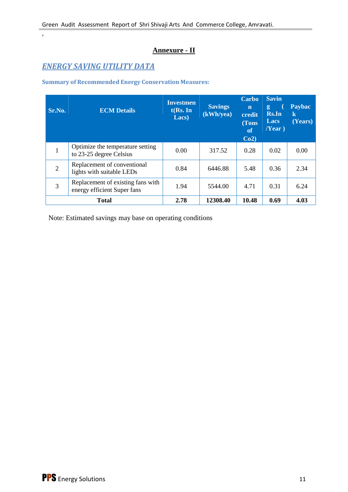# **Annexure - II**

# *ENERGY SAVING UTILITY DATA*

,

**Summary of Recommended Energy Conservation Measures:**

| Sr.No.         | <b>ECM Details</b>                                               | <b>Investmen</b><br>$t$ (Rs. In<br>Lacs) | <b>Savings</b><br>(kWh/ya) | <b>Carbo</b><br>$\mathbf n$<br>credit<br>(Tons<br>of<br>Co2 | <b>Savin</b><br>g.<br>Rs.In<br>Lacs<br>Near) | <b>Paybac</b><br>$\bf k$<br>(Years) |
|----------------|------------------------------------------------------------------|------------------------------------------|----------------------------|-------------------------------------------------------------|----------------------------------------------|-------------------------------------|
| 1              | Optimize the temperature setting<br>to 23-25 degree Celsius      | 0.00                                     | 317.52                     | 0.28                                                        | 0.02                                         | 0.00                                |
| $\overline{2}$ | Replacement of conventional<br>lights with suitable LEDs         | 0.84                                     | 6446.88                    | 5.48                                                        | 0.36                                         | 2.34                                |
| 3              | Replacement of existing fans with<br>energy efficient Super fans | 1.94                                     | 5544.00                    | 4.71                                                        | 0.31                                         | 6.24                                |
| <b>Total</b>   |                                                                  | 2.78                                     | 12308.40                   | 10.48                                                       | 0.69                                         | 4.03                                |

Note: Estimated savings may base on operating conditions